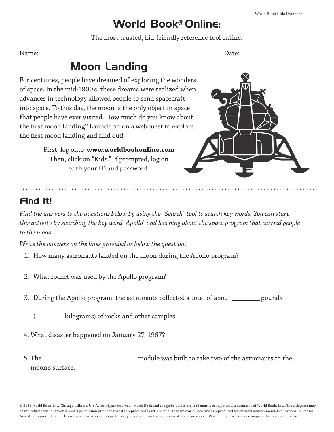### World Book® Online:

The most trusted, kid-friendly reference tool online.

Name: \_\_\_\_\_\_\_\_\_\_\_\_\_\_\_\_\_\_\_\_\_\_\_\_\_\_\_\_\_\_\_\_\_\_\_\_\_\_\_\_\_\_\_\_\_\_\_\_\_\_\_\_ Date:\_\_\_\_\_\_\_\_\_\_\_\_\_\_\_\_\_

# Moon Landing

For centuries, people have dreamed of exploring the wonders of space. In the mid-1900's, these dreams were realized when advances in technology allowed people to send spacecraft into space. To this day, the moon is the only object in space that people have ever visited. How much do you know about the first moon landing? Launch off on a webquest to explore the first moon landing and find out!

> First, log onto **www.worldbookonline.com** Then, click on "Kids." If prompted, log on with your ID and password.



## Find It!

*Find the answers to the questions below by using the "Search" tool to search key words. You can start this activity by searching the key word "Apollo" and learning about the space program that carried people to the moon.*

*Write the answers on the lines provided or below the question.*

- 1. How many astronauts landed on the moon during the Apollo program?
- 2. What rocket was used by the Apollo program?
- 3. During the Apollo program, the astronauts collected a total of about \_\_\_\_\_\_\_\_ pounds

(1) kilograms) of rocks and other samples.

- 4. What disaster happened on January 27, 1967?
- 5. The \_\_\_\_\_\_\_\_\_\_\_\_\_\_\_\_\_\_\_\_\_\_\_\_\_\_\_ module was built to take two of the astronauts to the moon's surface.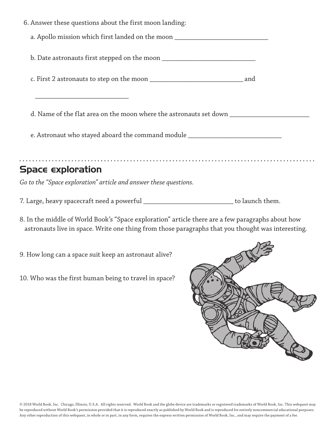| 6. Answer these questions about the first moon landing:                                                                                                                                                                         |
|---------------------------------------------------------------------------------------------------------------------------------------------------------------------------------------------------------------------------------|
| a. Apollo mission which first landed on the moon _______________________________                                                                                                                                                |
|                                                                                                                                                                                                                                 |
|                                                                                                                                                                                                                                 |
| <u> 1989 - Johann John Stone, market fan it ferskearre fan it ferskearre fan it ferskearre fan it ferskearre fan i</u><br>d. Name of the flat area on the moon where the astronauts set down ____________________               |
| e. Astronaut who stayed aboard the command module ______________________________                                                                                                                                                |
| <b>Space exploration</b>                                                                                                                                                                                                        |
| Go to the "Space exploration" article and answer these questions.                                                                                                                                                               |
| 7. Large, heavy spacecraft need a powerful _____________________________ to launch them.                                                                                                                                        |
| $\sim$ , and the set of the set of the set of the set of the set of the set of the set of the set of the set of the set of the set of the set of the set of the set of the set of the set of the set of the set of the set of t |

- 8. In the middle of World Book's "Space exploration" article there are a few paragraphs about how astronauts live in space. Write one thing from those paragraphs that you thought was interesting.
- 9. How long can a space suit keep an astronaut alive?
- 10. Who was the first human being to travel in space?

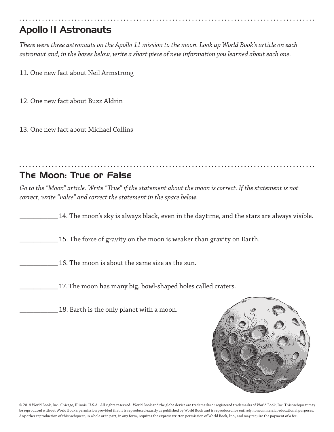## Apollo 11 Astronauts

*There were three astronauts on the Apollo 11 mission to the moon. Look up World Book's article on each astronaut and, in the boxes below, write a short piece of new information you learned about each one.*

11. One new fact about Neil Armstrong

12. One new fact about Buzz Aldrin

13. One new fact about Michael Collins

### The Moon: True or False

*Go to the "Moon" article. Write "True" if the statement about the moon is correct. If the statement is not correct, write "False" and correct the statement in the space below.*

14. The moon's sky is always black, even in the daytime, and the stars are always visible.

\_\_\_\_\_\_\_\_\_\_\_ 15. The force of gravity on the moon is weaker than gravity on Earth.

16. The moon is about the same size as the sun.

17. The moon has many big, bowl-shaped holes called craters.

18. Earth is the only planet with a moon.



© 2019 World Book, Inc. Chicago, Illinois, U.S.A. All rights reserved. World Book and the globe device are trademarks or registered trademarks of World Book, Inc. This webquest may be reproduced without World Book's permission provided that it is reproduced exactly as published by World Book and is reproduced for entirely noncommercial educational purposes. Any other reproduction of this webquest, in whole or in part, in any form, requires the express written permission of World Book, Inc., and may require the payment of a fee.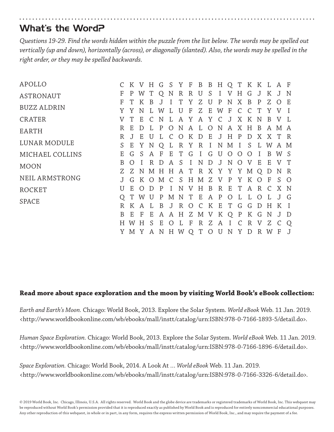### What's the Word?

*Questions 19-29. Find the words hidden within the puzzle from the list below. The words may be spelled out vertically (up and down), horizontally (across), or diagonally (slanted). Also, the words may be spelled in the right order, or they may be spelled backwards.* 

| APOLLO             |        | K V H G S Y F |              |        |              |                                  |                     |              |                    |                   |               |                |                              |                |                |               | B B H Q T K K L A F |                   |
|--------------------|--------|---------------|--------------|--------|--------------|----------------------------------|---------------------|--------------|--------------------|-------------------|---------------|----------------|------------------------------|----------------|----------------|---------------|---------------------|-------------------|
| <b>ASTRONAUT</b>   | F      | P             | W            | T      | O            | N                                | R                   | R            | U                  | S                 | I             | V              | Η                            | G              | J              | K J           |                     | N                 |
| <b>BUZZ ALDRIN</b> | F<br>Y | Y             | N            |        | W            |                                  | U                   | F            | 7.<br>7.           | U<br>E            | P<br>W        | N<br>F         | X<br>$\mathcal{C}$           | B<br>$\subset$ | P<br>T         | Z.<br>Y       | V                   | E<br>$\mathbf{I}$ |
| <b>CRATER</b>      | V      |               | E            |        | N            |                                  | A                   | Y            | A                  | Y                 | $\mathcal{C}$ | J              | X                            | K              | N              | B             |                     | Ι.                |
| EARTH              | R      | E             | D            |        | $\mathbf{P}$ | O                                | N                   | A            | Т.                 | $\overline{O}$    | N             | A              | X                            | H              | B              | A             | M A                 |                   |
| LUNAR MODULE       | R<br>S | Ε             | Ε<br>Υ       | U<br>N | L<br>Q       | $\mathcal{C}_{\mathcal{C}}$<br>L | $\Omega$<br>$\rm R$ | K<br>Y       | D<br>R             | E<br>$\mathbf{I}$ | J<br>N        | H<br>M         | $\mathbf{P}$<br>$\mathbf{I}$ | D<br>S         | Χ<br>L         | X<br>W        | $\top$<br>A M       | R                 |
| MICHAEL COLLINS    | Ε      | G             | S            | A      | F            | Ε                                | T                   | G            | $\mathbf{I}$       | G                 | U             | $\overline{O}$ | $\Omega$                     | $\Omega$       |                | B             | W S                 |                   |
| <b>MOON</b>        | B      | $\bigcap$     |              | R      | D            | A                                | <sub>S</sub>        | $\mathbf{I}$ | N                  | D                 | J             | N              | $\Omega$                     | V              | E              | E             |                     | T                 |
| NEIL ARMSTRONG     | Z      | Z<br>G        |              | K O    | M            | $\mathcal{C}$                    | N M H H A T<br>S.   | H            | R X Y Y Y M Q<br>M | Z                 | V             | P              | Y                            | K              | $\overline{O}$ | D<br>F        | N R<br>S.           | $\circ$           |
| ROCKET             | U      | E             |              | D      | P            |                                  | N                   | V            | Η                  | B                 | $\mathbb{R}$  | E              | T                            | A              | $\mathbb{R}$   | $\mathcal{C}$ | X N                 |                   |
| SPACE              |        |               | W            |        | P            | М                                | N                   | T            | E                  | A                 | P             | $\overline{O}$ | L                            |                | $\Omega$       | L             | $\mathbf{J}$        | G                 |
|                    | R.     |               |              |        | B            | J                                | R                   | $\bigcirc$   | $\mathcal{C}$      | K                 | E             | T              | G                            | G              | D              | Η             | K                   | $\mathbf{I}$      |
|                    | B      | Ε             | $\mathbf{F}$ | E      | Α            | Α                                | Η                   | Ζ            | М                  | V                 | K             | Q              | $\mathbf P$                  | K              | G              | N             | J                   | D                 |
|                    | H      |               | H            | S      | Ε            |                                  |                     | F            | R                  | Ζ                 | Α             |                |                              | R              | V              | Ζ             |                     | Q                 |
|                    | Y      | M Y           |              | A      | N            | H.                               | W                   | Q            | T                  | $\circ$           | U             | N              | Y                            | D              | R              | W             | F                   | J                 |

#### **Read more about space exploration and the moon by visiting World Book's eBook collection:**

*Earth and Earth's Moon.* Chicago: World Book, 2013. Explore the Solar System. *World eBook* Web. 11 Jan. 2019. <http://www.worldbookonline.com/wb/ebooks/mall/instt/catalog/urn:ISBN:978-0-7166-1893-5/detail.do>.

*Human Space Exploration.* Chicago: World Book, 2013. Explore the Solar System. *World eBook* Web. 11 Jan. 2019. <http://www.worldbookonline.com/wb/ebooks/mall/instt/catalog/urn:ISBN:978-0-7166-1896-6/detail.do>.

*Space Exploration.* Chicago: World Book, 2014. A Look At … *World eBook* Web. 11 Jan. 2019. <http://www.worldbookonline.com/wb/ebooks/mall/instt/catalog/urn:ISBN:978-0-7166-3326-6/detail.do>.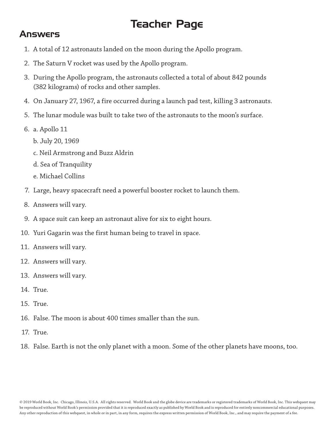# Teacher Page

#### Answers

- 1. A total of 12 astronauts landed on the moon during the Apollo program.
- 2. The Saturn V rocket was used by the Apollo program.
- 3. During the Apollo program, the astronauts collected a total of about 842 pounds (382 kilograms) of rocks and other samples.
- 4. On January 27, 1967, a fire occurred during a launch pad test, killing 3 astronauts.
- 5. The lunar module was built to take two of the astronauts to the moon's surface.
- 6. a. Apollo 11
	- b. July 20, 1969
	- c. Neil Armstrong and Buzz Aldrin
	- d. Sea of Tranquility
	- e. Michael Collins
- 7. Large, heavy spacecraft need a powerful booster rocket to launch them.
- 8. Answers will vary.
- 9. A space suit can keep an astronaut alive for six to eight hours.
- 10. Yuri Gagarin was the first human being to travel in space.
- 11. Answers will vary.
- 12. Answers will vary.
- 13. Answers will vary.
- 14. True.
- 15. True.
- 16. False. The moon is about 400 times smaller than the sun.
- 17. True.
- 18. False. Earth is not the only planet with a moon. Some of the other planets have moons, too.